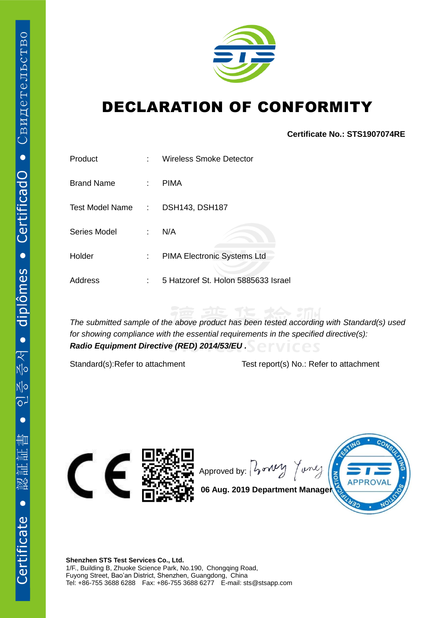

## DECLARATION OF CONFORMITY

**Certificate No.: STS1907074RE**

| Product           | ۰.                          | <b>Wireless Smoke Detector</b>      |
|-------------------|-----------------------------|-------------------------------------|
| <b>Brand Name</b> | $\mathbb{R}^n$              | <b>PIMA</b>                         |
| Test Model Name:  |                             | <b>DSH143, DSH187</b>               |
| Series Model      | $\mathcal{L}^{\mathcal{L}}$ | N/A                                 |
| Holder            | $\mathbb{Z}^{\mathbb{Z}}$   | PIMA Electronic Systems Ltd         |
| Address           | t                           | 5 Hatzoref St. Holon 5885633 Israel |

*The submitted sample of the above product has been tested according with Standard(s) used for showing compliance with the essential requirements in the specified directive(s): Radio Equipment Directive (RED) 2014/53/EU .*

Standard(s):Refer to attachment Test report(s) No.: Refer to attachment



Approved by:  $\int \sqrt{v^2 + v^2}$ Tonle



**06 Aug. 2019 Department Manager**

**Shenzhen STS Test Services Co., Ltd.** 1/F., Building B, Zhuoke Science Park, No.190, Chongqing Road, Fuyong Street, Bao'an District, Shenzhen, Guangdong, China Tel: +86-755 3688 6288 Fax: +86-755 3688 6277 E-mail: sts@stsapp.com